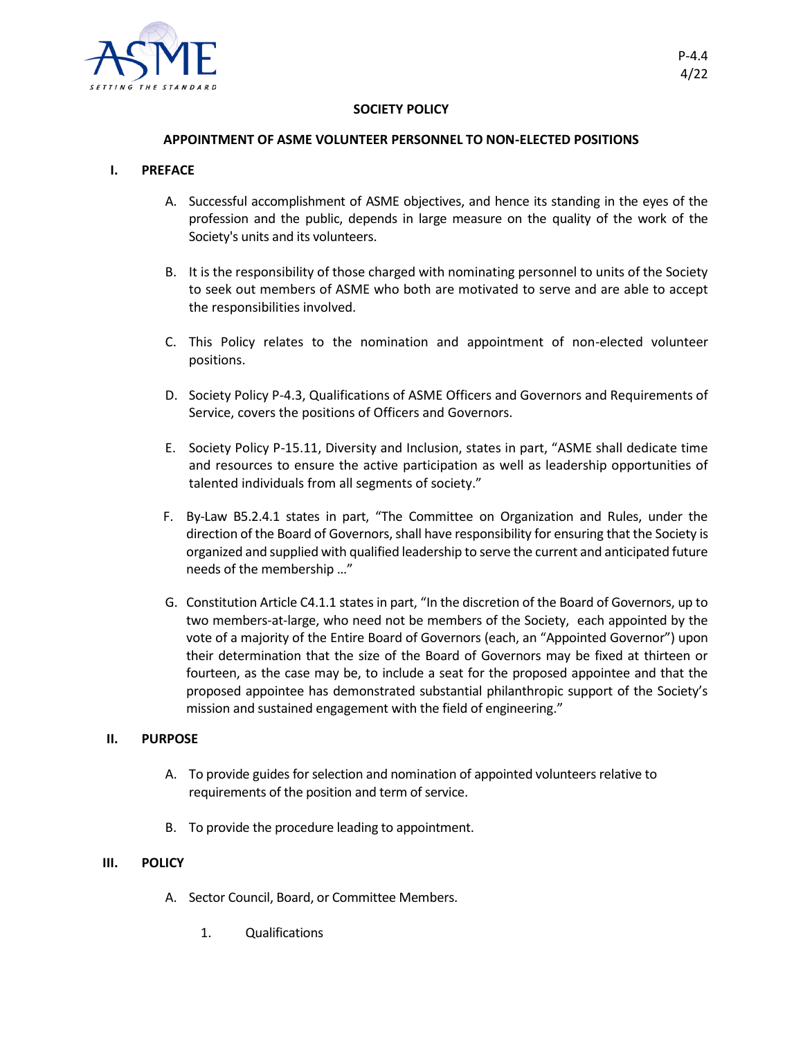

## **SOCIETY POLICY**

### **APPOINTMENT OF ASME VOLUNTEER PERSONNEL TO NON-ELECTED POSITIONS**

### **I. PREFACE**

- A. Successful accomplishment of ASME objectives, and hence its standing in the eyes of the profession and the public, depends in large measure on the quality of the work of the Society's units and its volunteers.
- B. It is the responsibility of those charged with nominating personnel to units of the Society to seek out members of ASME who both are motivated to serve and are able to accept the responsibilities involved.
- C. This Policy relates to the nomination and appointment of non-elected volunteer positions.
- D. Society Policy P-4.3, Qualifications of ASME Officers and Governors and Requirements of Service, covers the positions of Officers and Governors.
- E. Society Policy P-15.11, Diversity and Inclusion, states in part, "ASME shall dedicate time and resources to ensure the active participation as well as leadership opportunities of talented individuals from all segments of society."
- F. By-Law B5.2.4.1 states in part, "The Committee on Organization and Rules, under the direction of the Board of Governors, shall have responsibility for ensuring that the Society is organized and supplied with qualified leadership to serve the current and anticipated future needs of the membership …"
- G. Constitution Article C4.1.1 states in part, "In the discretion of the Board of Governors, up to two members-at-large, who need not be members of the Society, each appointed by the vote of a majority of the Entire Board of Governors (each, an "Appointed Governor") upon their determination that the size of the Board of Governors may be fixed at thirteen or fourteen, as the case may be, to include a seat for the proposed appointee and that the proposed appointee has demonstrated substantial philanthropic support of the Society's mission and sustained engagement with the field of engineering."

#### **II. PURPOSE**

- A. To provide guides for selection and nomination of appointed volunteers relative to requirements of the position and term of service.
- B. To provide the procedure leading to appointment.

#### **III. POLICY**

- A. Sector Council, Board, or Committee Members.
	- 1. Qualifications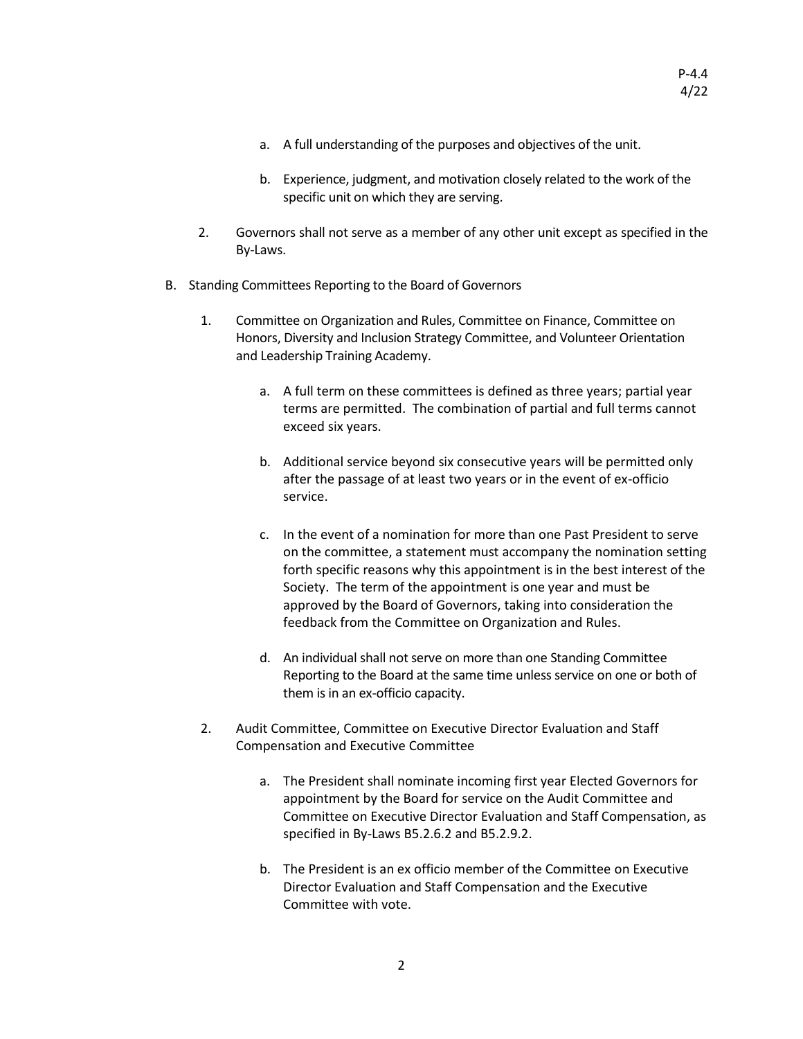- a. A full understanding of the purposes and objectives of the unit.
- b. Experience, judgment, and motivation closely related to the work of the specific unit on which they are serving.
- 2. Governors shall not serve as a member of any other unit except as specified in the By-Laws.
- B. Standing Committees Reporting to the Board of Governors
	- 1. Committee on Organization and Rules, Committee on Finance, Committee on Honors, Diversity and Inclusion Strategy Committee, and Volunteer Orientation and Leadership Training Academy.
		- a. A full term on these committees is defined as three years; partial year terms are permitted. The combination of partial and full terms cannot exceed six years.
		- b. Additional service beyond six consecutive years will be permitted only after the passage of at least two years or in the event of ex-officio service.
		- c. In the event of a nomination for more than one Past President to serve on the committee, a statement must accompany the nomination setting forth specific reasons why this appointment is in the best interest of the Society. The term of the appointment is one year and must be approved by the Board of Governors, taking into consideration the feedback from the Committee on Organization and Rules.
		- d. An individual shall not serve on more than one Standing Committee Reporting to the Board at the same time unless service on one or both of them is in an ex-officio capacity.
	- 2. Audit Committee, Committee on Executive Director Evaluation and Staff Compensation and Executive Committee
		- a. The President shall nominate incoming first year Elected Governors for appointment by the Board for service on the Audit Committee and Committee on Executive Director Evaluation and Staff Compensation, as specified in By-Laws B5.2.6.2 and B5.2.9.2.
		- b. The President is an ex officio member of the Committee on Executive Director Evaluation and Staff Compensation and the Executive Committee with vote.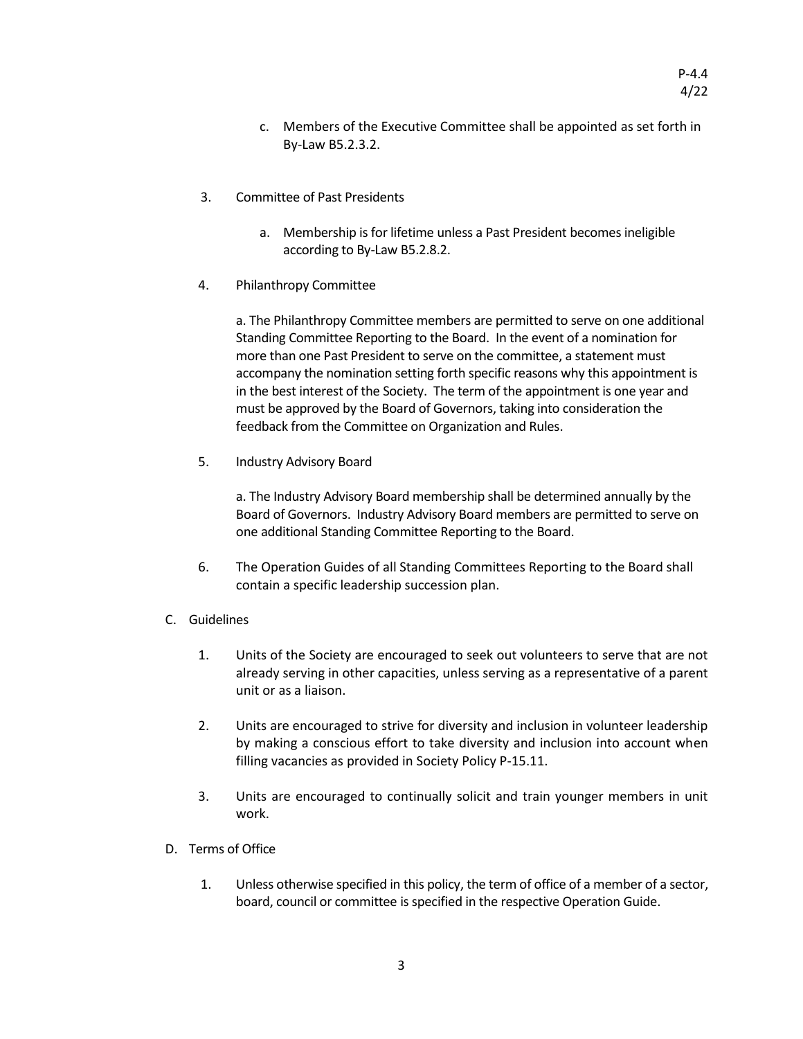- c. Members of the Executive Committee shall be appointed as set forth in By-Law B5.2.3.2.
- 3. Committee of Past Presidents
	- a. Membership is for lifetime unless a Past President becomes ineligible according to By-Law B5.2.8.2.
- 4. Philanthropy Committee

a. The Philanthropy Committee members are permitted to serve on one additional Standing Committee Reporting to the Board. In the event of a nomination for more than one Past President to serve on the committee, a statement must accompany the nomination setting forth specific reasons why this appointment is in the best interest of the Society. The term of the appointment is one year and must be approved by the Board of Governors, taking into consideration the feedback from the Committee on Organization and Rules.

5. Industry Advisory Board

a. The Industry Advisory Board membership shall be determined annually by the Board of Governors. Industry Advisory Board members are permitted to serve on one additional Standing Committee Reporting to the Board.

- 6. The Operation Guides of all Standing Committees Reporting to the Board shall contain a specific leadership succession plan.
- C. Guidelines
	- 1. Units of the Society are encouraged to seek out volunteers to serve that are not already serving in other capacities, unless serving as a representative of a parent unit or as a liaison.
	- 2. Units are encouraged to strive for diversity and inclusion in volunteer leadership by making a conscious effort to take diversity and inclusion into account when filling vacancies as provided in Society Policy P-15.11.
	- 3. Units are encouraged to continually solicit and train younger members in unit work.
- D. Terms of Office
	- 1. Unless otherwise specified in this policy, the term of office of a member of a sector, board, council or committee is specified in the respective Operation Guide.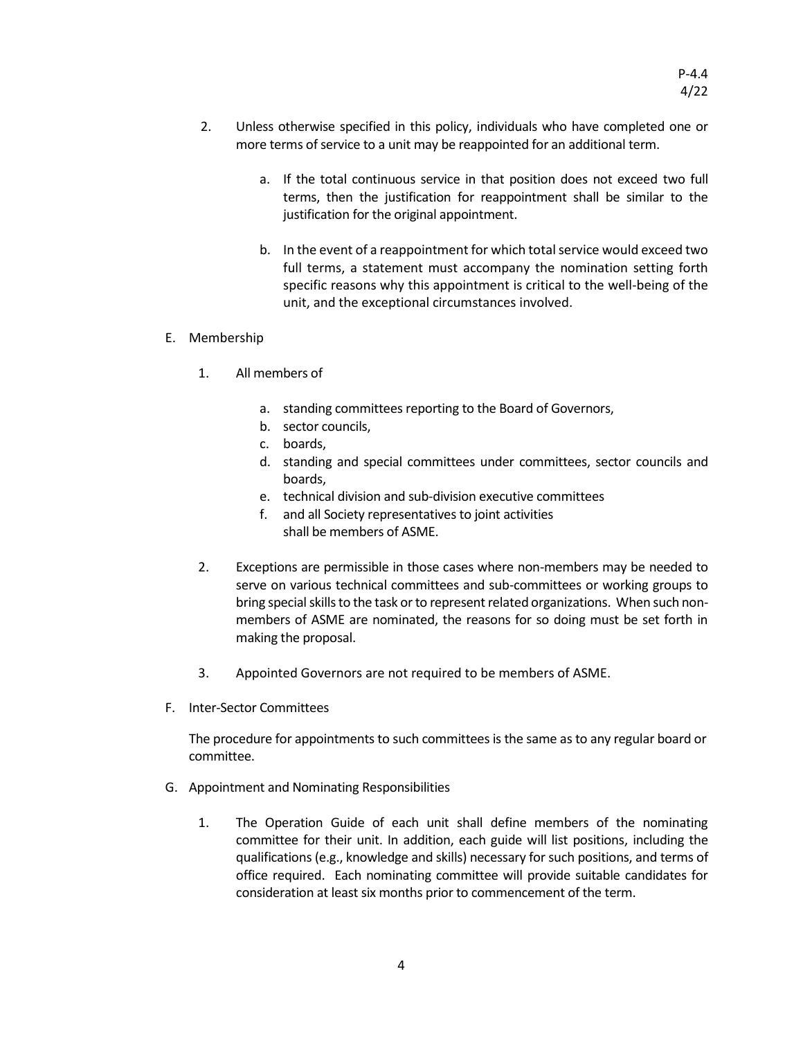- 2. Unless otherwise specified in this policy, individuals who have completed one or more terms of service to a unit may be reappointed for an additional term.
	- a. If the total continuous service in that position does not exceed two full terms, then the justification for reappointment shall be similar to the justification for the original appointment.
	- b. In the event of a reappointment for which total service would exceed two full terms, a statement must accompany the nomination setting forth specific reasons why this appointment is critical to the well-being of the unit, and the exceptional circumstances involved.

# E. Membership

- 1. All members of
	- a. standing committees reporting to the Board of Governors,
	- b. sector councils,
	- c. boards,
	- d. standing and special committees under committees, sector councils and boards,
	- e. technical division and sub-division executive committees
	- f. and all Society representatives to joint activities shall be members of ASME.
- 2. Exceptions are permissible in those cases where non-members may be needed to serve on various technical committees and sub-committees or working groups to bring special skills to the task or to represent related organizations. When such nonmembers of ASME are nominated, the reasons for so doing must be set forth in making the proposal.
- 3. Appointed Governors are not required to be members of ASME.
- F. Inter-Sector Committees

The procedure for appointments to such committees is the same as to any regular board or committee.

- G. Appointment and Nominating Responsibilities
	- 1. The Operation Guide of each unit shall define members of the nominating committee for their unit. In addition, each guide will list positions, including the qualifications (e.g., knowledge and skills) necessary for such positions, and terms of office required. Each nominating committee will provide suitable candidates for consideration at least six months prior to commencement of the term.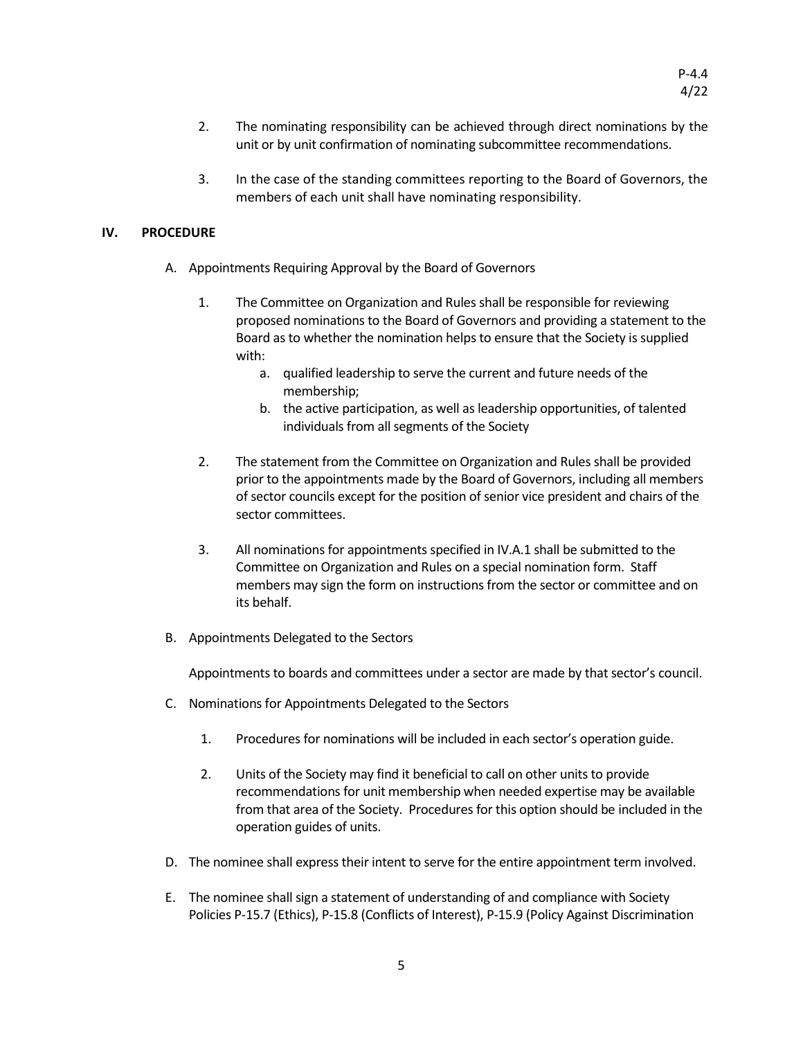- 2. The nominating responsibility can be achieved through direct nominations by the unit or by unit confirmation of nominating subcommittee recommendations.
- 3. In the case of the standing committees reporting to the Board of Governors, the members of each unit shall have nominating responsibility.

# **IV. PROCEDURE**

- A. Appointments Requiring Approval by the Board of Governors
	- 1. The Committee on Organization and Rules shall be responsible for reviewing proposed nominations to the Board of Governors and providing a statement to the Board as to whether the nomination helps to ensure that the Society is supplied with:
		- a. qualified leadership to serve the current and future needs of the membership;
		- b. the active participation, as well as leadership opportunities, of talented individuals from all segments of the Society
	- 2. The statement from the Committee on Organization and Rules shall be provided prior to the appointments made by the Board of Governors, including all members of sector councils except for the position of senior vice president and chairs of the sector committees.
	- 3. All nominations for appointments specified in IV.A.1 shall be submitted to the Committee on Organization and Rules on a special nomination form. Staff members may sign the form on instructions from the sector or committee and on its behalf.
- B. Appointments Delegated to the Sectors

Appointments to boards and committees under a sector are made by that sector's council.

- C. Nominations for Appointments Delegated to the Sectors
	- 1. Procedures for nominations will be included in each sector's operation guide.
	- 2. Units of the Society may find it beneficial to call on other units to provide recommendations for unit membership when needed expertise may be available from that area of the Society. Procedures for this option should be included in the operation guides of units.
- D. The nominee shall express their intent to serve for the entire appointment term involved.
- E. The nominee shall sign a statement of understanding of and compliance with Society Policies P-15.7 (Ethics), P-15.8 (Conflicts of Interest), P-15.9 (Policy Against Discrimination